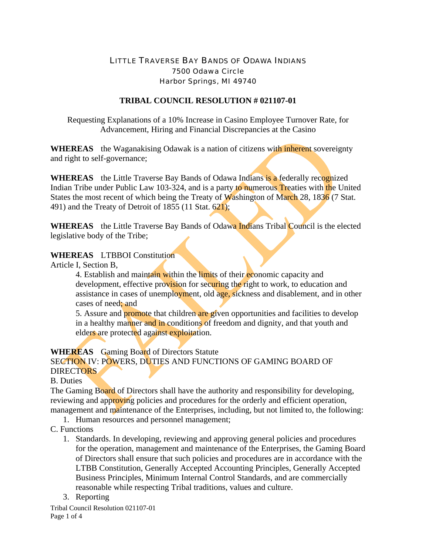# LITTLE TRAVERSE BAY BANDS OF ODAWA INDIANS 7500 Odawa Circle Harbor Springs, MI 49740

#### **TRIBAL COUNCIL RESOLUTION # 021107-01**

Requesting Explanations of a 10% Increase in Casino Employee Turnover Rate, for Advancement, Hiring and Financial Discrepancies at the Casino

**WHEREAS** the Waganakising Odawak is a nation of citizens with inherent sovereignty and right to self-governance;

**WHEREAS** the Little Traverse Bay Bands of Odawa Indians is a federally recognized Indian Tribe under Public Law 103-324, and is a party to numerous Treaties with the United States the most recent of which being the Treaty of Washington of March 28, 1836 (7 Stat. 491) and the Treaty of Detroit of 1855 (11 Stat. 621);

**WHEREAS** the Little Traverse Bay Bands of Odawa Indians Tribal Council is the elected legislative body of the Tribe;

#### **WHEREAS** LTBBOI Constitution

Article I, Section B,

4. Establish and maintain within the limits of their economic capacity and development, effective provision for securing the right to work, to education and assistance in cases of unemployment, old age, sickness and disablement, and in other cases of need; and

5. Assure and **promote** that children are given opportunities and facilities to develop in a healthy manner and in conditions of freedom and dignity, and that youth and elders are protected against exploitation.

**WHEREAS** Gaming Board of Directors Statute

SECTION IV: POWERS, DUTIES AND FUNCTIONS OF GAMING BOARD OF

# DIRECTORS

## B. Duties

The Gaming Board of Directors shall have the authority and responsibility for developing, reviewing and approving policies and procedures for the orderly and efficient operation, management and maintenance of the Enterprises, including, but not limited to, the following:

1. Human resources and personnel management;

## C. Functions

- 1. Standards. In developing, reviewing and approving general policies and procedures for the operation, management and maintenance of the Enterprises, the Gaming Board of Directors shall ensure that such policies and procedures are in accordance with the LTBB Constitution, Generally Accepted Accounting Principles, Generally Accepted Business Principles, Minimum Internal Control Standards, and are commercially reasonable while respecting Tribal traditions, values and culture.
- 3. Reporting

Tribal Council Resolution 021107-01 Page 1 of 4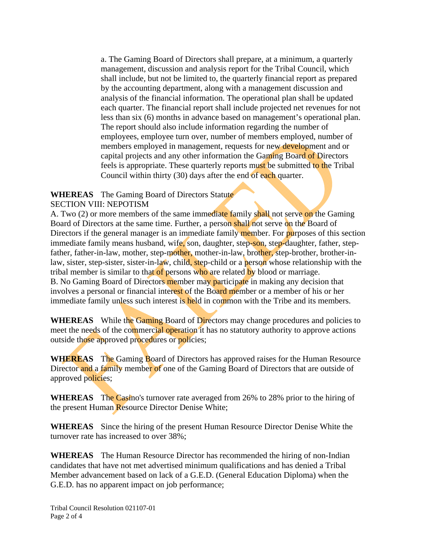a. The Gaming Board of Directors shall prepare, at a minimum, a quarterly management, discussion and analysis report for the Tribal Council, which shall include, but not be limited to, the quarterly financial report as prepared by the accounting department, along with a management discussion and analysis of the financial information. The operational plan shall be updated each quarter. The financial report shall include projected net revenues for not less than six (6) months in advance based on management's operational plan. The report should also include information regarding the number of employees, employee turn over, number of members employed, number of members employed in management, requests for new development and or capital projects and any other information the Gaming Board of Directors feels is appropriate. These quarterly reports must be submitted to the Tribal Council within thirty (30) days after the end of each quarter.

#### **WHEREAS** The Gaming Board of Directors Statute SECTION VIII: NEPOTISM

A. Two (2) or more members of the same immediate family shall not serve on the Gaming Board of Directors at the same time. Further, a person shall not serve on the Board of Directors if the general manager is an immediate family member. For purposes of this section immediate family means husband, wife, son, daughter, step-son, step-daughter, father, stepfather, father-in-law, mother, step-mother, mother-in-law, brother, step-brother, brother-inlaw, sister, step-sister, sister-in-law, child, step-child or a person whose relationship with the tribal member is similar to that of persons who are related by blood or marriage. B. No Gaming Board of Directors member may participate in making any decision that involves a personal or financial interest of the Board member or a member of his or her immediate family unless such interest is held in common with the Tribe and its members.

WHEREAS While the Gaming Board of Directors may change procedures and policies to meet the needs of the commercial operation it has no statutory authority to approve actions outside those approved procedures or policies;

**WHEREAS** The Gaming Board of Directors has approved raises for the Human Resource Director and a family member of one of the Gaming Board of Directors that are outside of approved policies;

**WHEREAS** The Casino's turnover rate averaged from 26% to 28% prior to the hiring of the present Human Resource Director Denise White;

**WHEREAS** Since the hiring of the present Human Resource Director Denise White the turnover rate has increased to over 38%;

**WHEREAS** The Human Resource Director has recommended the hiring of non-Indian candidates that have not met advertised minimum qualifications and has denied a Tribal Member advancement based on lack of a G.E.D. (General Education Diploma) when the G.E.D. has no apparent impact on job performance;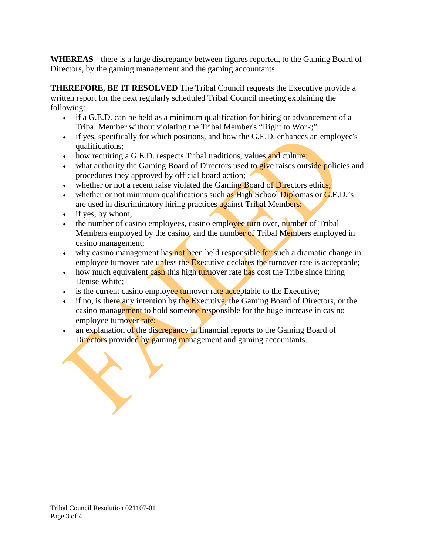**WHEREAS** there is a large discrepancy between figures reported, to the Gaming Board of Directors, by the gaming management and the gaming accountants.

**THEREFORE, BE IT RESOLVED** The Tribal Council requests the Executive provide a written report for the next regularly scheduled Tribal Council meeting explaining the following:

- if a G.E.D. can be held as a minimum qualification for hiring or advancement of a Tribal Member without violating the Tribal Member's "Right to Work;"
- if yes, specifically for which positions, and how the G.E.D. enhances an employee's qualifications;
- how requiring a G.E.D. respects Tribal traditions, values and culture;
- what authority the Gaming Board of Directors used to give raises outside policies and procedures they approved by official board action;
- whether or not a recent raise violated the Gaming Board of Directors ethics;
- whether or not minimum qualifications such as High School Diplomas or  $G.E.D.'s$ are used in discriminatory hiring practices against Tribal Members;
- if yes, by whom;
- the number of casino employees, casino employee turn over, number of Tribal Members employed by the casino, and the number of Tribal Members employed in casino management;
- why casino management has not been held responsible for such a dramatic change in employee turnover rate unless the Executive declares the turnover rate is acceptable;
- how much equivalent cash this high turnover rate has cost the Tribe since hiring Denise White;
- is the current casino employee turnover rate acceptable to the Executive;
- if no, is there any intention by the Executive, the Gaming Board of Directors, or the casino management to hold someone responsible for the huge increase in casino employee turnover rate;
- an explanation of the discrepancy in financial reports to the Gaming Board of Directors provided by gaming management and gaming accountants.